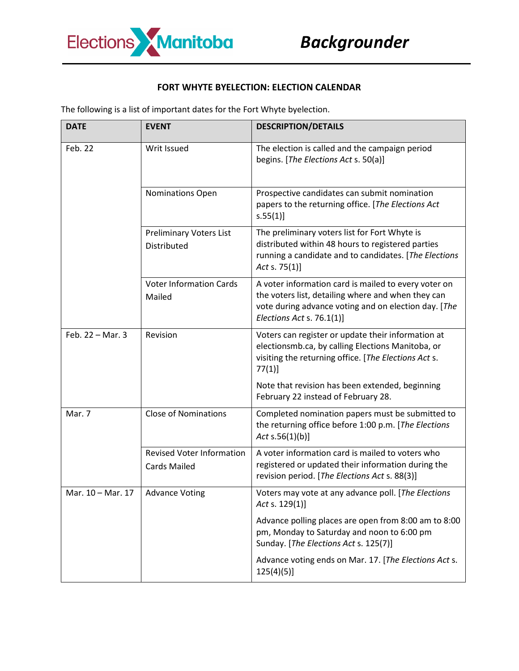

## **FORT WHYTE BYELECTION: ELECTION CALENDAR**

The following is a list of important dates for the Fort Whyte byelection.

| <b>DATE</b>       | <b>EVENT</b>                                            | <b>DESCRIPTION/DETAILS</b>                                                                                                                                                                      |
|-------------------|---------------------------------------------------------|-------------------------------------------------------------------------------------------------------------------------------------------------------------------------------------------------|
| Feb. 22           | Writ Issued                                             | The election is called and the campaign period<br>begins. [The Elections Act s. 50(a)]                                                                                                          |
|                   | Nominations Open                                        | Prospective candidates can submit nomination<br>papers to the returning office. [The Elections Act<br>s.55(1)]                                                                                  |
|                   | <b>Preliminary Voters List</b><br>Distributed           | The preliminary voters list for Fort Whyte is<br>distributed within 48 hours to registered parties<br>running a candidate and to candidates. [The Elections<br>Act s. $75(1)$ ]                 |
|                   | <b>Voter Information Cards</b><br>Mailed                | A voter information card is mailed to every voter on<br>the voters list, detailing where and when they can<br>vote during advance voting and on election day. [The<br>Elections Act s. 76.1(1)] |
| Feb. 22 - Mar. 3  | Revision                                                | Voters can register or update their information at<br>electionsmb.ca, by calling Elections Manitoba, or<br>visiting the returning office. [The Elections Act s.<br>$77(1)$ ]                    |
|                   |                                                         | Note that revision has been extended, beginning<br>February 22 instead of February 28.                                                                                                          |
| Mar. 7            | <b>Close of Nominations</b>                             | Completed nomination papers must be submitted to<br>the returning office before 1:00 p.m. [The Elections<br>Act $s.56(1)(b)$ ]                                                                  |
|                   | <b>Revised Voter Information</b><br><b>Cards Mailed</b> | A voter information card is mailed to voters who<br>registered or updated their information during the<br>revision period. [The Elections Act s. 88(3)]                                         |
| Mar. 10 - Mar. 17 | <b>Advance Voting</b>                                   | Voters may vote at any advance poll. [The Elections<br>Act s. $129(1)$ ]                                                                                                                        |
|                   |                                                         | Advance polling places are open from 8:00 am to 8:00<br>pm, Monday to Saturday and noon to 6:00 pm<br>Sunday. [The Elections Act s. 125(7)]                                                     |
|                   |                                                         | Advance voting ends on Mar. 17. [The Elections Act s.<br>$125(4)(5)$ ]                                                                                                                          |